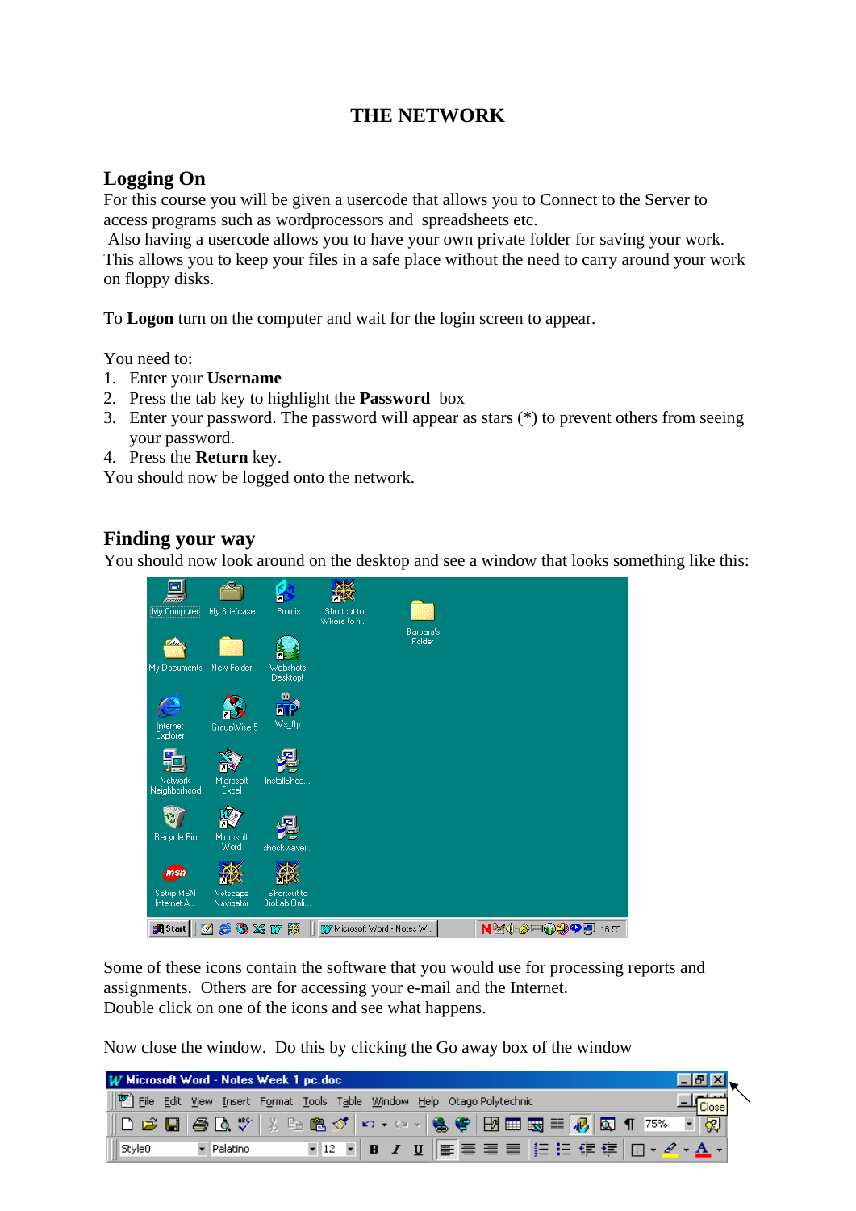## **THE NETWORK**

## **Logging On**

For this course you will be given a usercode that allows you to Connect to the Server to access programs such as wordprocessors and spreadsheets etc.

 Also having a usercode allows you to have your own private folder for saving your work. This allows you to keep your files in a safe place without the need to carry around your work on floppy disks.

To **Logon** turn on the computer and wait for the login screen to appear.

You need to:

- 1. Enter your **Username**
- 2. Press the tab key to highlight the **Password** box
- 3. Enter your password. The password will appear as stars (\*) to prevent others from seeing your password.
- 4. Press the **Return** key.

You should now be logged onto the network.

## **Finding your way**

You should now look around on the desktop and see a window that looks something like this:



Some of these icons contain the software that you would use for processing reports and assignments. Others are for accessing your e-mail and the Internet. Double click on one of the icons and see what happens.

Now close the window. Do this by clicking the Go away box of the window

| W Microsoft Word - Notes Week 1 pc.doc |            |  |                                                                        |                                             |
|----------------------------------------|------------|--|------------------------------------------------------------------------|---------------------------------------------|
|                                        |            |  | File Edit View Insert Format Tools Table Window Help Otago Polytechnic | Ulose                                       |
|                                        |            |  |                                                                        | ▓▁▗▝▁▗▝▁▗▝▝▕▓▝▏▒▏▝▏▝▏▝▏▝▏▝▏▝▏▝<br>- 30      |
| Style0                                 | - Palatino |  |                                                                        | ▼12 ▼ B J U   事事 君言   扫 日 宇 建   田 • タ • A • |